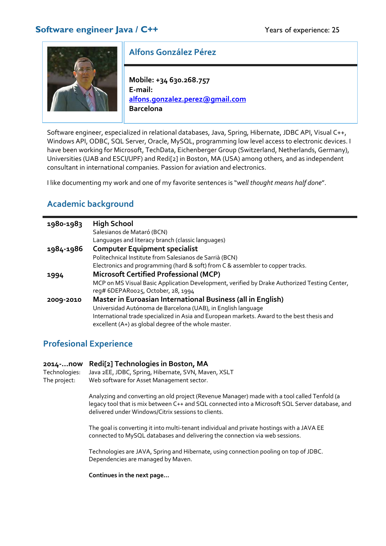

# **Alfons González Pérez**

**Mobile: +34 630.268.757 E‐mail: alfons.gonzalez.perez@gmail.com Barcelona**

Software engineer, especialized in relational databases, Java, Spring, Hibernate, JDBC API, Visual C++, Windows API, ODBC, SQL Server, Oracle, MySQL, programming low level access to electronic devices. I have been working for Microsoft, TechData, Eichenberger Group (Switzerland, Netherlands, Germany), Universities (UAB and ESCI/UPF) and Redi[2] in Boston, MA (USA) among others, and as independent consultant in international companies. Passion for aviation and electronics.

I like documenting my work and one of my favorite sentences is "*well thought means half done*".

# **Academic background**

| 1980-1983 | <b>High School</b>                                                                                                                 |  |
|-----------|------------------------------------------------------------------------------------------------------------------------------------|--|
|           | Salesianos de Mataró (BCN)                                                                                                         |  |
|           | Languages and literacy branch (classic languages)                                                                                  |  |
| 1984-1986 | <b>Computer Equipment specialist</b>                                                                                               |  |
|           | Politechnical Institute from Salesianos de Sarrià (BCN)                                                                            |  |
|           | Electronics and programming (hard & soft) from C & assembler to copper tracks.                                                     |  |
| 1994      | <b>Microsoft Certified Professional (MCP)</b>                                                                                      |  |
|           | MCP on MS Visual Basic Application Development, verified by Drake Authorized Testing Center,<br>reg# 6DEPARoo25, October, 28, 1994 |  |
| 2009-2010 | Master in Euroasian International Business (all in English)                                                                        |  |
|           | Universidad Autónoma de Barcelona (UAB), in English language                                                                       |  |
|           | International trade specialized in Asia and European markets. Award to the best thesis and                                         |  |
|           | excellent (A+) as global degree of the whole master.                                                                               |  |

# **Profesional Experience**

**2014‐...now Redi[2] Technologies in Boston, MA** Technologies: Java 2EE, JDBC, Spring, Hibernate, SVN, Maven, XSLT The project: Web software for Asset Management sector.

> Analyzing and converting an old project (Revenue Manager) made with a tool called Tenfold (a legacy tool that is mix between C++ and SQL connected into a Microsoft SQL Server database, and delivered under Windows/Citrix sessions to clients.

The goal is converting it into multi-tenant individual and private hostings with a JAVA EE connected to MySQL databases and delivering the connection via web sessions.

Technologies are JAVA, Spring and Hibernate, using connection pooling on top of JDBC. Dependencies are managed by Maven.

**Continues in the next page…**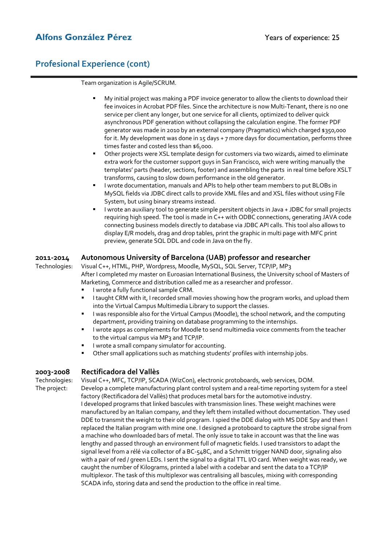## Alfons González Pérez **Vermet Alfons González Pérez** a Vears of experience: 25

## **Profesional Experience (cont)**

Team organization is Agile/SCRUM.

- My initial project was making a PDF invoice generator to allow the clients to download their fee invoices in Acrobat PDF files. Since the architecture is now Multi‐Tenant, there is no one service per client any longer, but one service for all clients, optimized to deliver quick asynchronous PDF generation without collapsing the calculation engine. The former PDF generator was made in 2010 by an external company (Pragmatics) which charged \$350,000 for it. My development was done in 15 days + 7 more days for documentation, performs three times faster and costed less than \$6,000.
- Other projects were XSL template design for customers via two wizards, aimed to eliminate extra work for the customer support guys in San Francisco, wich were writing manually the templates' parts (header, sections, footer) and assembling the parts in real time before XSLT transforms, causing to slow down performance in the old generator.
- I wrote documentation, manuals and APIs to help other team members to put BLOBs in MySQL fields via JDBC direct calls to provide XML files and and XSL files without using File System, but using binary streams instead.
- I wrote an auxiliary tool to generate simple persitent objects in Java + JDBC for small projects requiring high speed. The tool is made in C++ with ODBC connections, generating JAVA code connecting business models directly to database via JDBC API calls. This tool also allows to display E/R models, drag and drop tables, print the graphic in multi page with MFC print preview, generate SQL DDL and code in Java on the fly.

#### **2011‐2014 Autonomous University of Barcelona (UAB) professor and researcher**

Technologies: Visual C++, HTML, PHP, Wordpress, Moodle, MySQL, SQL Server, TCP/IP, MP3 After I completed my master on Euroasian International Business, the University school of Masters of Marketing, Commerce and distribution called me as a researcher and professor.

- I wrote a fully functional sample CRM.
- I taught CRM with it, I recorded small movies showing how the program works, and upload them into the Virtual Campus Multimedia Library to support the classes.
- I was responsible also for the Virtual Campus (Moodle), the school network, and the computing department, providing training on database programming to the internships.
- I wrote apps as complements for Moodle to send multimedia voice comments from the teacher to the virtual campus via MP3 and TCP/IP.
- I wrote a small company simulator for accounting.
- Other small applications such as matching students' profiles with internship jobs.

#### **2003‐2008 Rectificadora del Vallès**

Technologies: Visual C++, MFC, TCP/IP, SCADA (WizCon), electronic protoboards, web services, DOM. The project: Develop a complete manufacturing plant control system and a real-time reporting system for a steel factory (Rectificadora del Vallès) that produces metal bars for the automotive industry. I developed programs that linked bascules with transmission lines. These weight machines were manufactured by an Italian company, and they left them installed without documentation. They used DDE to transmit the weight to their old program. I spied the DDE dialog with MS DDE Spy and then I replaced the Italian program with mine one. I designed a protoboard to capture the strobe signal from a machine who downloaded bars of metal. The only issue to take in account was that the line was lengthy and passed through an environment full of magnetic fields. I used transistors to adapt the signal level from a rélé via collector of a BC-548C, and a Schmitt trigger NAND door, signaling also with a pair of red / green LEDs. I sent the signal to a digital TTL I/O card. When weight was ready, we caught the number of Kilograms, printed a label with a codebar and sent the data to a TCP/IP multiplexor. The task of this multiplexor was centralising all bascules, mixing with corresponding SCADA info, storing data and send the production to the office in real time.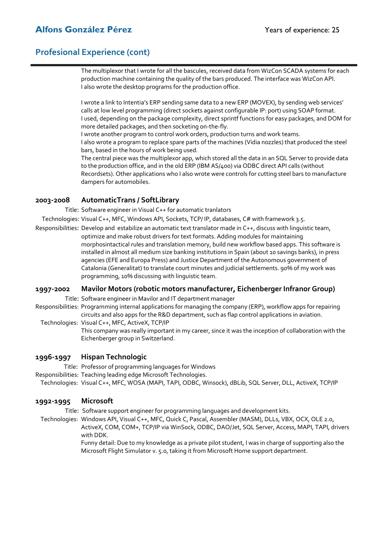# **Alfons González Pérez 1988** (Years of experience: 25

## **Profesional Experience (cont)**

The multiplexor that I wrote for all the bascules, received data from WizCon SCADA systems for each production machine containing the quality of the bars produced. The interface was WizCon API. I also wrote the desktop programs for the production office.

I wrote a link to Intentia's ERP sending same data to a new ERP (MOVEX), by sending web services' calls at low level programming (direct sockets against configurable IP: port) using SOAP format. I used, depending on the package complexity, direct sprintf functions for easy packages, and DOM for more detailed packages, and then socketing on‐the‐fly.

I wrote another program to control work orders, production turns and work teams.

I also wrote a program to replace spare parts of the machines (Vidia nozzles) that produced the steel bars, based in the hours of work being used.

The central piece was the multiplexor app, which stored all the data in an SQL Server to provide data to the production office, and in the old ERP (IBM AS/400) via ODBC direct API calls (without Recordsets). Other applications who I also wrote were controls for cutting steel bars to manufacture dampers for automobiles.

### **2003‐2008 AutomaticTrans / SoftLibrary**

Title: Software engineer in Visual C++ for automatic tranlators

Technologies: Visual C++, MFC, Windows API, Sockets, TCP/ IP, databases, C# with framework 3.5.

Responsibilities: Develop and estabilize an automatic text translator made in C++, discuss with linguistic team, optimize and make robust drivers for text formats. Adding modules for maintaining morphosintactical rules and translation memory, build new workflow based apps. This software is installed in almost all medium size banking institutions in Spain (about 10 savings banks), in press agencies (EFE and Europa Press) and Justice Department of the Autonomous government of Catalonia (Generalitat) to translate court minutes and judicial settlements. 90% of my work was programming, 10% discussing with linguistic team.

### **1997‐2002 Mavilor Motors (robotic motors manufacturer, Eichenberger Infranor Group)**

Title: Software engineer in Mavilor and IT department manager

Responsibilities: Programming internal applications for managing the company (ERP), workflow apps for repairing circuits and also apps for the R&D department, such as flap control applications in aviation.

Technologies: Visual C++, MFC, ActiveX, TCP/IP

This company was really important in my career, since it was the inception of collaboration with the Eichenberger group in Switzerland.

### **1996‐1997 Hispan Technologic**

Title: Professor of programming languages for Windows

Responsibilities: Teaching leading edge Microsoft Technologies.

Technologies: Visual C++, MFC, WOSA (MAPI, TAPI, ODBC, Winsock), dBLib, SQL Server, DLL, ActiveX, TCP/IP

### **1992‐1995 Microsoft**

Title: Software support engineer for programming languages and development kits.

 Technologies: Windows API, Visual C++, MFC, Quick C, Pascal, Assembler (MASM), DLLs, VBX, OCX, OLE 2.0, ActiveX, COM, COM+, TCP/IP via WinSock, ODBC, DAO/Jet, SQL Server, Access, MAPI, TAPI, drivers with DDK.

Funny detail: Due to my knowledge as a private pilot student, I was in charge of supporting also the Microsoft Flight Simulator v. 5.0, taking it from Microsoft Home support department.